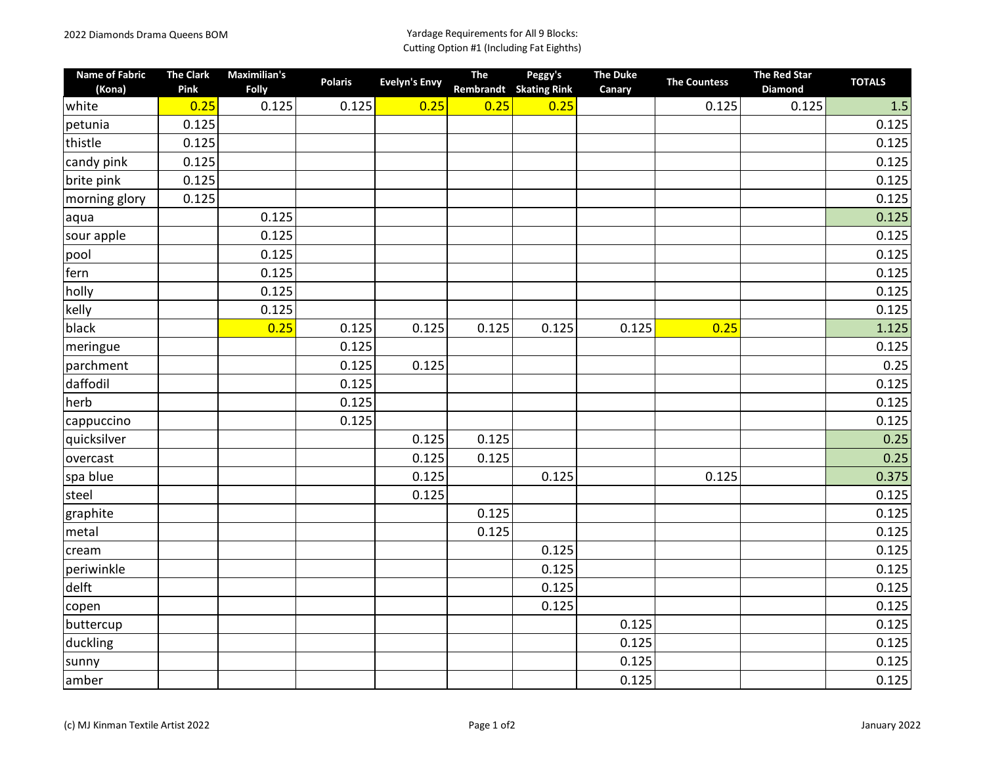| <b>Name of Fabric</b><br>(Kona) | <b>The Clark</b><br>Pink | <b>Maximilian's</b><br><b>Folly</b> | <b>Polaris</b> | <b>Evelyn's Envy</b> | The<br>Rembrandt | Peggy's<br><b>Skating Rink</b> | <b>The Duke</b><br>Canary | <b>The Countess</b> | <b>The Red Star</b><br>Diamond | <b>TOTALS</b> |
|---------------------------------|--------------------------|-------------------------------------|----------------|----------------------|------------------|--------------------------------|---------------------------|---------------------|--------------------------------|---------------|
| white                           | 0.25                     | 0.125                               | 0.125          | 0.25                 | 0.25             | 0.25                           |                           | 0.125               | 0.125                          | $1.5$         |
| petunia                         | 0.125                    |                                     |                |                      |                  |                                |                           |                     |                                | 0.125         |
| thistle                         | 0.125                    |                                     |                |                      |                  |                                |                           |                     |                                | 0.125         |
| candy pink                      | 0.125                    |                                     |                |                      |                  |                                |                           |                     |                                | 0.125         |
| brite pink                      | 0.125                    |                                     |                |                      |                  |                                |                           |                     |                                | 0.125         |
| morning glory                   | 0.125                    |                                     |                |                      |                  |                                |                           |                     |                                | 0.125         |
| laqua                           |                          | 0.125                               |                |                      |                  |                                |                           |                     |                                | 0.125         |
| sour apple                      |                          | 0.125                               |                |                      |                  |                                |                           |                     |                                | 0.125         |
| pool                            |                          | 0.125                               |                |                      |                  |                                |                           |                     |                                | 0.125         |
| fern                            |                          | 0.125                               |                |                      |                  |                                |                           |                     |                                | 0.125         |
| holly                           |                          | 0.125                               |                |                      |                  |                                |                           |                     |                                | 0.125         |
| kelly                           |                          | 0.125                               |                |                      |                  |                                |                           |                     |                                | 0.125         |
| black                           |                          | 0.25                                | 0.125          | 0.125                | 0.125            | 0.125                          | 0.125                     | 0.25                |                                | 1.125         |
| meringue                        |                          |                                     | 0.125          |                      |                  |                                |                           |                     |                                | 0.125         |
| parchment                       |                          |                                     | 0.125          | 0.125                |                  |                                |                           |                     |                                | 0.25          |
| daffodil                        |                          |                                     | 0.125          |                      |                  |                                |                           |                     |                                | 0.125         |
| herb                            |                          |                                     | 0.125          |                      |                  |                                |                           |                     |                                | 0.125         |
| cappuccino                      |                          |                                     | 0.125          |                      |                  |                                |                           |                     |                                | 0.125         |
| quicksilver                     |                          |                                     |                | 0.125                | 0.125            |                                |                           |                     |                                | 0.25          |
| overcast                        |                          |                                     |                | 0.125                | 0.125            |                                |                           |                     |                                | 0.25          |
| spa blue                        |                          |                                     |                | 0.125                |                  | 0.125                          |                           | 0.125               |                                | 0.375         |
| steel                           |                          |                                     |                | 0.125                |                  |                                |                           |                     |                                | 0.125         |
| graphite                        |                          |                                     |                |                      | 0.125            |                                |                           |                     |                                | 0.125         |
| metal                           |                          |                                     |                |                      | 0.125            |                                |                           |                     |                                | 0.125         |
| cream                           |                          |                                     |                |                      |                  | 0.125                          |                           |                     |                                | 0.125         |
| periwinkle                      |                          |                                     |                |                      |                  | 0.125                          |                           |                     |                                | 0.125         |
| delft                           |                          |                                     |                |                      |                  | 0.125                          |                           |                     |                                | 0.125         |
| copen                           |                          |                                     |                |                      |                  | 0.125                          |                           |                     |                                | 0.125         |
| buttercup                       |                          |                                     |                |                      |                  |                                | 0.125                     |                     |                                | 0.125         |
| duckling                        |                          |                                     |                |                      |                  |                                | 0.125                     |                     |                                | 0.125         |
| sunny                           |                          |                                     |                |                      |                  |                                | 0.125                     |                     |                                | 0.125         |
| amber                           |                          |                                     |                |                      |                  |                                | 0.125                     |                     |                                | 0.125         |